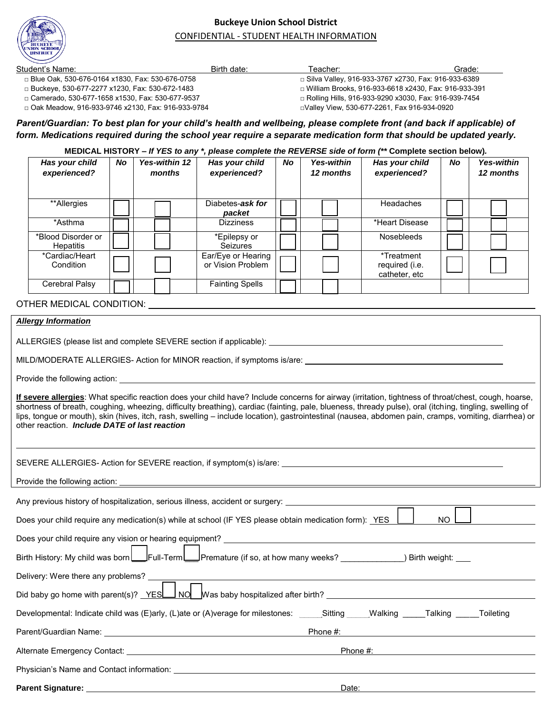

## **Buckeye Union School District**  CONFIDENTIAL - STUDENT HEALTH INFORMATION

| Student's Name:                                                                                                                                      |           |                      | Birth date:                                                                                                |                                                        | Teacher:          |                | Grade:    |                   |
|------------------------------------------------------------------------------------------------------------------------------------------------------|-----------|----------------------|------------------------------------------------------------------------------------------------------------|--------------------------------------------------------|-------------------|----------------|-----------|-------------------|
| □ Blue Oak, 530-676-0164 x1830, Fax: 530-676-0758                                                                                                    |           |                      |                                                                                                            | □ Silva Valley, 916-933-3767 x2730, Fax: 916-933-6389  |                   |                |           |                   |
| □ Buckeye, 530-677-2277 x1230, Fax: 530-672-1483                                                                                                     |           |                      |                                                                                                            | □ William Brooks, 916-933-6618 x2430, Fax: 916-933-391 |                   |                |           |                   |
| □ Camerado, 530-677-1658 x1530, Fax: 530-677-9537                                                                                                    |           |                      |                                                                                                            | □ Rolling Hills, 916-933-9290 x3030, Fax: 916-939-7454 |                   |                |           |                   |
| □ Oak Meadow, 916-933-9746 x2130, Fax: 916-933-9784                                                                                                  |           |                      |                                                                                                            | DValley View, 530-677-2261, Fax 916-934-0920           |                   |                |           |                   |
|                                                                                                                                                      |           |                      |                                                                                                            |                                                        |                   |                |           |                   |
| Parent/Guardian: To best plan for your child's health and wellbeing, please complete front (and back if applicable) of                               |           |                      |                                                                                                            |                                                        |                   |                |           |                   |
| form. Medications required during the school year require a separate medication form that should be updated yearly.                                  |           |                      |                                                                                                            |                                                        |                   |                |           |                   |
|                                                                                                                                                      |           |                      | MEDICAL HISTORY – If YES to any *, please complete the REVERSE side of form $(**$ Complete section below). |                                                        |                   |                |           |                   |
| Has your child                                                                                                                                       | <b>No</b> | <b>Yes-within 12</b> | Has your child                                                                                             | <b>No</b>                                              | <b>Yes-within</b> | Has your child | <b>No</b> | <b>Yes-within</b> |
| experienced?                                                                                                                                         |           | months               | experienced?                                                                                               |                                                        | 12 months         | experienced?   |           | 12 months         |
|                                                                                                                                                      |           |                      |                                                                                                            |                                                        |                   |                |           |                   |
|                                                                                                                                                      |           |                      |                                                                                                            |                                                        |                   |                |           |                   |
| **Allergies                                                                                                                                          |           |                      | Diabetes-ask for                                                                                           |                                                        |                   | Headaches      |           |                   |
|                                                                                                                                                      |           |                      | packet                                                                                                     |                                                        |                   |                |           |                   |
| *Asthma                                                                                                                                              |           |                      | <b>Dizziness</b>                                                                                           |                                                        |                   | *Heart Disease |           |                   |
| *Blood Disorder or                                                                                                                                   |           |                      | *Epilepsy or                                                                                               |                                                        |                   | Nosebleeds     |           |                   |
| Hepatitis                                                                                                                                            |           |                      | Seizures                                                                                                   |                                                        |                   |                |           |                   |
| *Cardiac/Heart                                                                                                                                       |           |                      | Ear/Eye or Hearing                                                                                         |                                                        |                   | *Treatment     |           |                   |
| Condition                                                                                                                                            |           |                      | or Vision Problem                                                                                          |                                                        |                   | required (i.e. |           |                   |
|                                                                                                                                                      |           |                      |                                                                                                            |                                                        |                   | catheter, etc  |           |                   |
| Cerebral Palsy                                                                                                                                       |           |                      | <b>Fainting Spells</b>                                                                                     |                                                        |                   |                |           |                   |
|                                                                                                                                                      |           |                      |                                                                                                            |                                                        |                   |                |           |                   |
| OTHER MEDICAL CONDITION:                                                                                                                             |           |                      |                                                                                                            |                                                        |                   |                |           |                   |
|                                                                                                                                                      |           |                      |                                                                                                            |                                                        |                   |                |           |                   |
| <b>Allergy Information</b>                                                                                                                           |           |                      |                                                                                                            |                                                        |                   |                |           |                   |
| ALLERGIES (please list and complete SEVERE section if applicable):                                                                                   |           |                      |                                                                                                            |                                                        |                   |                |           |                   |
|                                                                                                                                                      |           |                      |                                                                                                            |                                                        |                   |                |           |                   |
| MILD/MODERATE ALLERGIES- Action for MINOR reaction, if symptoms is/are: ____________________________                                                 |           |                      |                                                                                                            |                                                        |                   |                |           |                   |
|                                                                                                                                                      |           |                      |                                                                                                            |                                                        |                   |                |           |                   |
|                                                                                                                                                      |           |                      |                                                                                                            |                                                        |                   |                |           |                   |
|                                                                                                                                                      |           |                      |                                                                                                            |                                                        |                   |                |           |                   |
|                                                                                                                                                      |           |                      |                                                                                                            |                                                        |                   |                |           |                   |
| If severe allergies: What specific reaction does your child have? Include concerns for airway (irritation, tightness of throat/chest, cough, hoarse, |           |                      |                                                                                                            |                                                        |                   |                |           |                   |

| Any previous history of hospitalization, serious illness, accident or surgery: _______________________________                                                                                                                 |  |  |  |  |  |  |
|--------------------------------------------------------------------------------------------------------------------------------------------------------------------------------------------------------------------------------|--|--|--|--|--|--|
| Does your child require any medication(s) while at school (IF YES please obtain medication form): YES<br>NO I                                                                                                                  |  |  |  |  |  |  |
|                                                                                                                                                                                                                                |  |  |  |  |  |  |
| Birth History: My child was born Full-Term Premature (if so, at how many weeks? ________________) Birth weight: ____                                                                                                           |  |  |  |  |  |  |
| Delivery: Were there any problems? $\Box$                                                                                                                                                                                      |  |  |  |  |  |  |
| Did baby go home with parent(s)? YESL NO Mas baby hospitalized after birth?                                                                                                                                                    |  |  |  |  |  |  |
| Developmental: Indicate child was (E)arly, (L)ate or (A)verage for milestones: _____Sitting _____Valking _____Talking _____Toileting                                                                                           |  |  |  |  |  |  |
| Phone #: the state of the state of the state of the state of the state of the state of the state of the state of the state of the state of the state of the state of the state of the state of the state of the state of the s |  |  |  |  |  |  |
| Phone #:                                                                                                                                                                                                                       |  |  |  |  |  |  |
| Physician's Name and Contact information: example and the state of the state of the state of the state of the state of the state of the state of the state of the state of the state of the state of the state of the state of |  |  |  |  |  |  |
| Parent Signature: And the state of the state of the state of the state of the state of the state of the state o<br>Date:                                                                                                       |  |  |  |  |  |  |